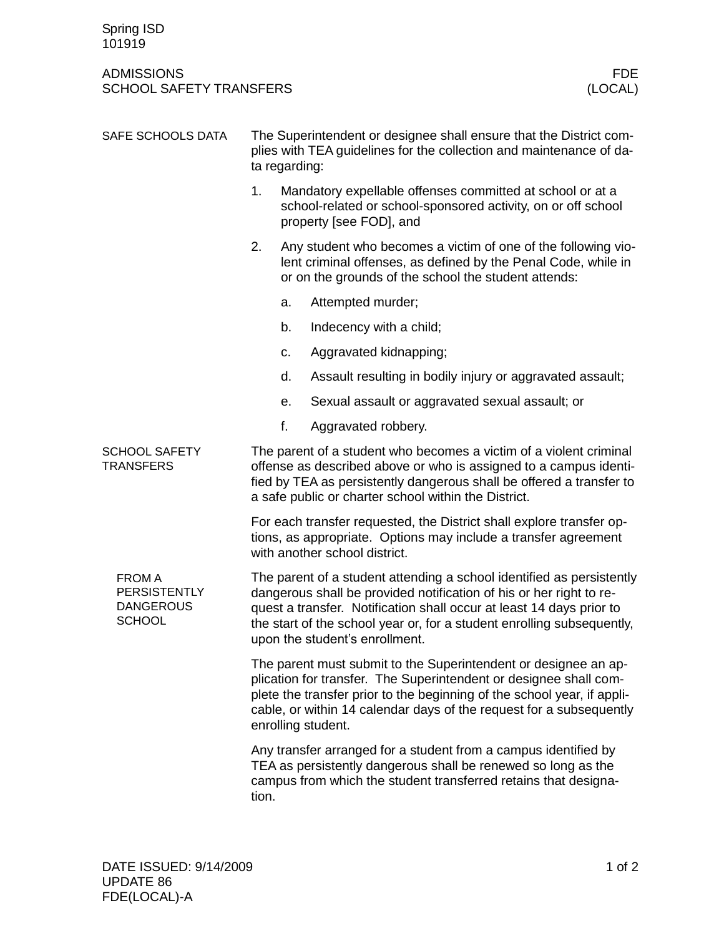## ADMISSIONS FDE SCHOOL SAFETY TRANSFERS

| SAFE SCHOOLS DATA                                                         | The Superintendent or designee shall ensure that the District com-<br>plies with TEA guidelines for the collection and maintenance of da-<br>ta regarding:                                                                                                                                                                       |                                                                                                                                                                                         |                                                                                                                                                       |  |
|---------------------------------------------------------------------------|----------------------------------------------------------------------------------------------------------------------------------------------------------------------------------------------------------------------------------------------------------------------------------------------------------------------------------|-----------------------------------------------------------------------------------------------------------------------------------------------------------------------------------------|-------------------------------------------------------------------------------------------------------------------------------------------------------|--|
|                                                                           | 1.                                                                                                                                                                                                                                                                                                                               |                                                                                                                                                                                         | Mandatory expellable offenses committed at school or at a<br>school-related or school-sponsored activity, on or off school<br>property [see FOD], and |  |
|                                                                           | 2.                                                                                                                                                                                                                                                                                                                               | Any student who becomes a victim of one of the following vio-<br>lent criminal offenses, as defined by the Penal Code, while in<br>or on the grounds of the school the student attends: |                                                                                                                                                       |  |
|                                                                           |                                                                                                                                                                                                                                                                                                                                  | a.                                                                                                                                                                                      | Attempted murder;                                                                                                                                     |  |
|                                                                           |                                                                                                                                                                                                                                                                                                                                  | b.                                                                                                                                                                                      | Indecency with a child;                                                                                                                               |  |
|                                                                           |                                                                                                                                                                                                                                                                                                                                  | c.                                                                                                                                                                                      | Aggravated kidnapping;                                                                                                                                |  |
|                                                                           |                                                                                                                                                                                                                                                                                                                                  | d.                                                                                                                                                                                      | Assault resulting in bodily injury or aggravated assault;                                                                                             |  |
|                                                                           |                                                                                                                                                                                                                                                                                                                                  | е.                                                                                                                                                                                      | Sexual assault or aggravated sexual assault; or                                                                                                       |  |
|                                                                           |                                                                                                                                                                                                                                                                                                                                  | f.                                                                                                                                                                                      | Aggravated robbery.                                                                                                                                   |  |
| <b>SCHOOL SAFETY</b><br><b>TRANSFERS</b>                                  | The parent of a student who becomes a victim of a violent criminal<br>offense as described above or who is assigned to a campus identi-<br>fied by TEA as persistently dangerous shall be offered a transfer to<br>a safe public or charter school within the District.                                                          |                                                                                                                                                                                         |                                                                                                                                                       |  |
|                                                                           | For each transfer requested, the District shall explore transfer op-<br>tions, as appropriate. Options may include a transfer agreement<br>with another school district.                                                                                                                                                         |                                                                                                                                                                                         |                                                                                                                                                       |  |
| <b>FROM A</b><br><b>PERSISTENTLY</b><br><b>DANGEROUS</b><br><b>SCHOOL</b> | The parent of a student attending a school identified as persistently<br>dangerous shall be provided notification of his or her right to re-<br>quest a transfer. Notification shall occur at least 14 days prior to<br>the start of the school year or, for a student enrolling subsequently,<br>upon the student's enrollment. |                                                                                                                                                                                         |                                                                                                                                                       |  |
|                                                                           | The parent must submit to the Superintendent or designee an ap-<br>plication for transfer. The Superintendent or designee shall com-<br>plete the transfer prior to the beginning of the school year, if appli-<br>cable, or within 14 calendar days of the request for a subsequently<br>enrolling student.                     |                                                                                                                                                                                         |                                                                                                                                                       |  |
|                                                                           | Any transfer arranged for a student from a campus identified by<br>TEA as persistently dangerous shall be renewed so long as the<br>campus from which the student transferred retains that designa-<br>tion.                                                                                                                     |                                                                                                                                                                                         |                                                                                                                                                       |  |